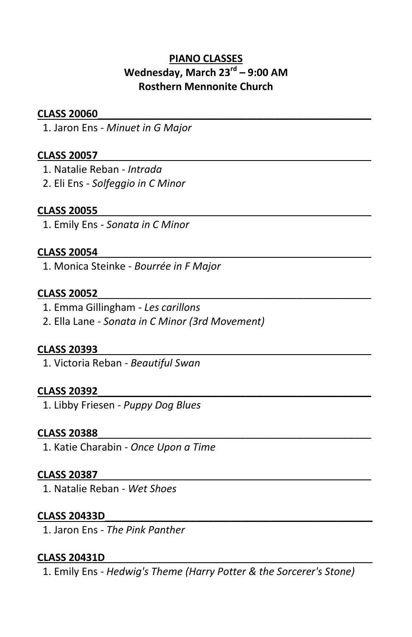# **PIANO CLASSES Wednesday, March 23rd – 9:00 AM Rosthern Mennonite Church**

# **CLASS 20060**\_\_\_\_\_\_\_\_\_\_\_\_\_\_\_\_\_\_\_\_\_\_\_\_\_\_\_\_\_\_\_\_\_\_\_\_\_\_\_\_\_\_\_\_\_\_\_\_

1. Jaron Ens - *Minuet in G Major* 

# **CLASS 20057**\_\_\_\_\_\_\_\_\_\_\_\_\_\_\_\_\_\_\_\_\_\_\_\_\_\_\_\_\_\_\_\_\_\_\_\_\_\_\_\_\_\_\_\_\_\_\_\_

1. Natalie Reban - *Intrada* 

2. Eli Ens - *Solfeggio in C Minor* 

# **CLASS 20055**\_\_\_\_\_\_\_\_\_\_\_\_\_\_\_\_\_\_\_\_\_\_\_\_\_\_\_\_\_\_\_\_\_\_\_\_\_\_\_\_\_\_\_\_\_\_\_\_

1. Emily Ens - *Sonata in C Minor*

# **CLASS 20054**\_\_\_\_\_\_\_\_\_\_\_\_\_\_\_\_\_\_\_\_\_\_\_\_\_\_\_\_\_\_\_\_\_\_\_\_\_\_\_\_\_\_\_\_\_\_\_\_

1. Monica Steinke - *Bourrée in F Major* 

### **CLASS 20052**\_\_\_\_\_\_\_\_\_\_\_\_\_\_\_\_\_\_\_\_\_\_\_\_\_\_\_\_\_\_\_\_\_\_\_\_\_\_\_\_\_\_\_\_\_\_\_\_

1. Emma Gillingham - *Les carillons*

2. Ella Lane - *Sonata in C Minor (3rd Movement)*

# **CLASS 20393**\_\_\_\_\_\_\_\_\_\_\_\_\_\_\_\_\_\_\_\_\_\_\_\_\_\_\_\_\_\_\_\_\_\_\_\_\_\_\_\_\_\_\_\_\_\_\_\_

1. Victoria Reban - *Beautiful Swan*

# **CLASS 20392**\_\_\_\_\_\_\_\_\_\_\_\_\_\_\_\_\_\_\_\_\_\_\_\_\_\_\_\_\_\_\_\_\_\_\_\_\_\_\_\_\_\_\_\_\_\_\_\_

1. Libby Friesen - *Puppy Dog Blues*

# **CLASS 20388**\_\_\_\_\_\_\_\_\_\_\_\_\_\_\_\_\_\_\_\_\_\_\_\_\_\_\_\_\_\_\_\_\_\_\_\_\_\_\_\_\_\_\_\_\_\_\_\_

1. Katie Charabin - *Once Upon a Time*

# **CLASS 20387**\_\_\_\_\_\_\_\_\_\_\_\_\_\_\_\_\_\_\_\_\_\_\_\_\_\_\_\_\_\_\_\_\_\_\_\_\_\_\_\_\_\_\_\_\_\_\_\_

1. Natalie Reban - *Wet Shoes*

# **CLASS 20433D**\_\_\_\_\_\_\_\_\_\_\_\_\_\_\_\_\_\_\_\_\_\_\_\_\_\_\_\_\_\_\_\_\_\_\_\_\_\_\_\_\_\_\_\_\_\_\_

1. Jaron Ens - *The Pink Panther* 

# **CLASS 20431D**\_\_\_\_\_\_\_\_\_\_\_\_\_\_\_\_\_\_\_\_\_\_\_\_\_\_\_\_\_\_\_\_\_\_\_\_\_\_\_\_\_\_\_\_\_\_\_

1. Emily Ens - *Hedwig's Theme (Harry Potter & the Sorcerer's Stone)*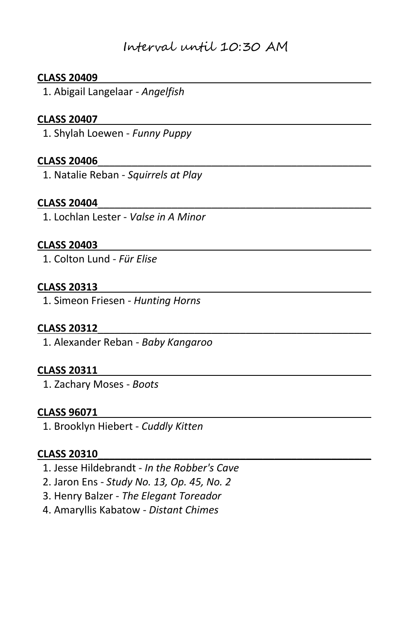# Interval until 10:30 AM

### **CLASS 20409**\_\_\_\_\_\_\_\_\_\_\_\_\_\_\_\_\_\_\_\_\_\_\_\_\_\_\_\_\_\_\_\_\_\_\_\_\_\_\_\_\_\_\_\_\_\_\_\_

1. Abigail Langelaar - *Angelfish*

### **CLASS 20407**\_\_\_\_\_\_\_\_\_\_\_\_\_\_\_\_\_\_\_\_\_\_\_\_\_\_\_\_\_\_\_\_\_\_\_\_\_\_\_\_\_\_\_\_\_\_\_\_

1. Shylah Loewen - *Funny Puppy* 

#### **CLASS 20406**\_\_\_\_\_\_\_\_\_\_\_\_\_\_\_\_\_\_\_\_\_\_\_\_\_\_\_\_\_\_\_\_\_\_\_\_\_\_\_\_\_\_\_\_\_\_\_\_

1. Natalie Reban - *Squirrels at Play*

#### **CLASS 20404**\_\_\_\_\_\_\_\_\_\_\_\_\_\_\_\_\_\_\_\_\_\_\_\_\_\_\_\_\_\_\_\_\_\_\_\_\_\_\_\_\_\_\_\_\_\_\_\_

1. Lochlan Lester - *Valse in A Minor*

#### **CLASS 20403**\_\_\_\_\_\_\_\_\_\_\_\_\_\_\_\_\_\_\_\_\_\_\_\_\_\_\_\_\_\_\_\_\_\_\_\_\_\_\_\_\_\_\_\_\_\_\_\_

1. Colton Lund - *Für Elise*

# **CLASS 20313**\_\_\_\_\_\_\_\_\_\_\_\_\_\_\_\_\_\_\_\_\_\_\_\_\_\_\_\_\_\_\_\_\_\_\_\_\_\_\_\_\_\_\_\_\_\_\_\_

1. Simeon Friesen - *Hunting Horns*

#### **CLASS 20312**\_\_\_\_\_\_\_\_\_\_\_\_\_\_\_\_\_\_\_\_\_\_\_\_\_\_\_\_\_\_\_\_\_\_\_\_\_\_\_\_\_\_\_\_\_\_\_\_

1. Alexander Reban - *Baby Kangaroo* 

#### **CLASS 20311**\_\_\_\_\_\_\_\_\_\_\_\_\_\_\_\_\_\_\_\_\_\_\_\_\_\_\_\_\_\_\_\_\_\_\_\_\_\_\_\_\_\_\_\_\_\_\_\_

1. Zachary Moses - *Boots*

### **CLASS 96071**\_\_\_\_\_\_\_\_\_\_\_\_\_\_\_\_\_\_\_\_\_\_\_\_\_\_\_\_\_\_\_\_\_\_\_\_\_\_\_\_\_\_\_\_\_\_\_\_

1. Brooklyn Hiebert - *Cuddly Kitten*

#### **CLASS 20310**\_\_\_\_\_\_\_\_\_\_\_\_\_\_\_\_\_\_\_\_\_\_\_\_\_\_\_\_\_\_\_\_\_\_\_\_\_\_\_\_\_\_\_\_\_\_\_\_

- 1. Jesse Hildebrandt *In the Robber's Cave*
- 2. Jaron Ens *Study No. 13, Op. 45, No. 2*
- 3. Henry Balzer *The Elegant Toreador*
- 4. Amaryllis Kabatow *Distant Chimes*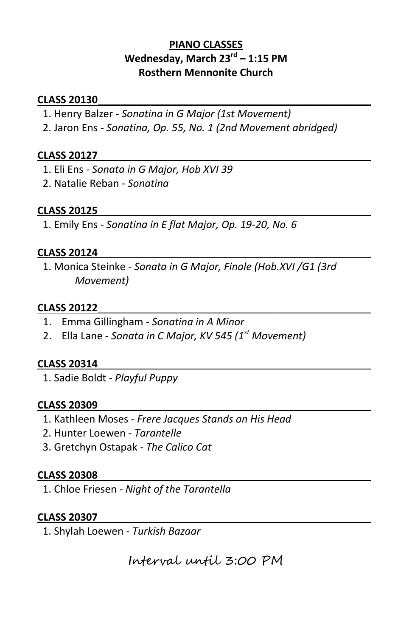# **PIANO CLASSES Wednesday, March 23rd – 1:15 PM Rosthern Mennonite Church**

### **CLASS 20130**\_\_\_\_\_\_\_\_\_\_\_\_\_\_\_\_\_\_\_\_\_\_\_\_\_\_\_\_\_\_\_\_\_\_\_\_\_\_\_\_\_\_\_\_\_\_\_\_

- 1. Henry Balzer *Sonatina in G Major (1st Movement)*
- 2. Jaron Ens *Sonatina, Op. 55, No. 1 (2nd Movement abridged)*

### **CLASS 20127**\_\_\_\_\_\_\_\_\_\_\_\_\_\_\_\_\_\_\_\_\_\_\_\_\_\_\_\_\_\_\_\_\_\_\_\_\_\_\_\_\_\_\_\_\_\_\_\_

- 1. Eli Ens *Sonata in G Major, Hob XVI 39*
- 2. Natalie Reban *Sonatina*

### **CLASS 20125**\_\_\_\_\_\_\_\_\_\_\_\_\_\_\_\_\_\_\_\_\_\_\_\_\_\_\_\_\_\_\_\_\_\_\_\_\_\_\_\_\_\_\_\_\_\_\_\_

1. Emily Ens - *Sonatina in E flat Major, Op. 19-20, No. 6*

### **CLASS 20124**\_\_\_\_\_\_\_\_\_\_\_\_\_\_\_\_\_\_\_\_\_\_\_\_\_\_\_\_\_\_\_\_\_\_\_\_\_\_\_\_\_\_\_\_\_\_\_\_

 1. Monica Steinke - *Sonata in G Major, Finale (Hob.XVI /G1 (3rd Movement)* 

#### **CLASS 20122**\_\_\_\_\_\_\_\_\_\_\_\_\_\_\_\_\_\_\_\_\_\_\_\_\_\_\_\_\_\_\_\_\_\_\_\_\_\_\_\_\_\_\_\_\_\_\_\_

- 1. Emma Gillingham *Sonatina in A Minor*
- 2. Ella Lane *Sonata in C Major, KV 545 (1st Movement)*

#### **CLASS 20314**\_\_\_\_\_\_\_\_\_\_\_\_\_\_\_\_\_\_\_\_\_\_\_\_\_\_\_\_\_\_\_\_\_\_\_\_\_\_\_\_\_\_\_\_\_\_\_\_

1. Sadie Boldt - *Playful Puppy*

#### **CLASS 20309**\_\_\_\_\_\_\_\_\_\_\_\_\_\_\_\_\_\_\_\_\_\_\_\_\_\_\_\_\_\_\_\_\_\_\_\_\_\_\_\_\_\_\_\_\_\_\_\_

- 1. Kathleen Moses *Frere Jacques Stands on His Head*
- 2. Hunter Loewen *Tarantelle*
- 3. Gretchyn Ostapak *The Calico Cat*

### **CLASS 20308**\_\_\_\_\_\_\_\_\_\_\_\_\_\_\_\_\_\_\_\_\_\_\_\_\_\_\_\_\_\_\_\_\_\_\_\_\_\_\_\_\_\_\_\_\_\_\_\_

1. Chloe Friesen - *Night of the Tarantella*

# **CLASS 20307**\_\_\_\_\_\_\_\_\_\_\_\_\_\_\_\_\_\_\_\_\_\_\_\_\_\_\_\_\_\_\_\_\_\_\_\_\_\_\_\_\_\_\_\_\_\_\_\_

1. Shylah Loewen - *Turkish Bazaar*

Interval until 3:00 PM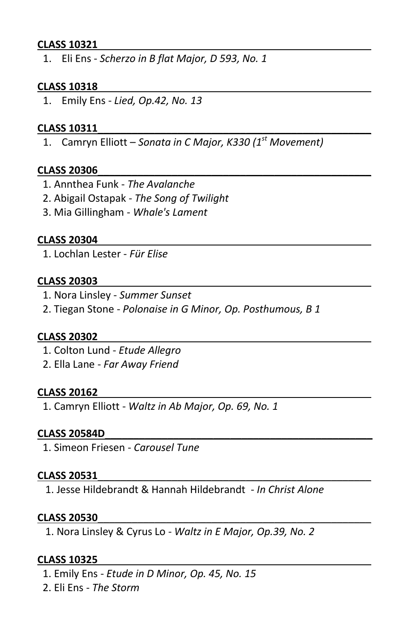# **CLASS 10321**\_\_\_\_\_\_\_\_\_\_\_\_\_\_\_\_\_\_\_\_\_\_\_\_\_\_\_\_\_\_\_\_\_\_\_\_\_\_\_\_\_\_\_\_\_\_\_\_

1. Eli Ens - *Scherzo in B flat Major, D 593, No. 1*

#### **CLASS 10318**\_\_\_\_\_\_\_\_\_\_\_\_\_\_\_\_\_\_\_\_\_\_\_\_\_\_\_\_\_\_\_\_\_\_\_\_\_\_\_\_\_\_\_\_\_\_\_\_

1. Emily Ens - *Lied, Op.42, No. 13*

#### **CLASS 10311**\_\_\_\_\_\_\_\_\_\_\_\_\_\_\_\_\_\_\_\_\_\_\_\_\_\_\_\_\_\_\_\_\_\_\_\_\_\_\_\_\_\_\_\_\_\_\_\_

1. Camryn Elliott – *Sonata in C Major, K330 (1st Movement)*

#### **CLASS 20306**\_\_\_\_\_\_\_\_\_\_\_\_\_\_\_\_\_\_\_\_\_\_\_\_\_\_\_\_\_\_\_\_\_\_\_\_\_\_\_\_\_\_\_\_\_\_\_\_

- 1. Annthea Funk *The Avalanche*
- 2. Abigail Ostapak *The Song of Twilight*
- 3. Mia Gillingham *Whale's Lament*

#### **CLASS 20304**\_\_\_\_\_\_\_\_\_\_\_\_\_\_\_\_\_\_\_\_\_\_\_\_\_\_\_\_\_\_\_\_\_\_\_\_\_\_\_\_\_\_\_\_\_\_\_\_

1. Lochlan Lester - *Für Elise*

#### **CLASS 20303**\_\_\_\_\_\_\_\_\_\_\_\_\_\_\_\_\_\_\_\_\_\_\_\_\_\_\_\_\_\_\_\_\_\_\_\_\_\_\_\_\_\_\_\_\_\_\_\_

- 1. Nora Linsley *Summer Sunset*
- 2. Tiegan Stone *Polonaise in G Minor, Op. Posthumous, B 1*

#### **CLASS 20302**\_\_\_\_\_\_\_\_\_\_\_\_\_\_\_\_\_\_\_\_\_\_\_\_\_\_\_\_\_\_\_\_\_\_\_\_\_\_\_\_\_\_\_\_\_\_\_\_

- 1. Colton Lund *Etude Allegro*
- 2. Ella Lane *Far Away Friend*

#### **CLASS 20162**\_\_\_\_\_\_\_\_\_\_\_\_\_\_\_\_\_\_\_\_\_\_\_\_\_\_\_\_\_\_\_\_\_\_\_\_\_\_\_\_\_\_\_\_\_\_\_\_

1. Camryn Elliott - *Waltz in Ab Major, Op. 69, No. 1*

#### **CLASS 20584D**\_\_\_\_\_\_\_\_\_\_\_\_\_\_\_\_\_\_\_\_\_\_\_\_\_\_\_\_\_\_\_\_\_\_\_\_\_\_\_\_\_\_\_\_\_\_\_

1. Simeon Friesen - *Carousel Tune*

#### **CLASS 20531**\_\_\_\_\_\_\_\_\_\_\_\_\_\_\_\_\_\_\_\_\_\_\_\_\_\_\_\_\_\_\_\_\_\_\_\_\_\_\_\_\_\_\_\_\_\_\_\_

1. Jesse Hildebrandt & Hannah Hildebrandt - *In Christ Alone*

#### **CLASS 20530**\_\_\_\_\_\_\_\_\_\_\_\_\_\_\_\_\_\_\_\_\_\_\_\_\_\_\_\_\_\_\_\_\_\_\_\_\_\_\_\_\_\_\_\_\_\_\_\_

1. Nora Linsley & Cyrus Lo - *Waltz in E Major, Op.39, No. 2*

#### **CLASS 10325**\_\_\_\_\_\_\_\_\_\_\_\_\_\_\_\_\_\_\_\_\_\_\_\_\_\_\_\_\_\_\_\_\_\_\_\_\_\_\_\_\_\_\_\_\_\_\_\_

- 1. Emily Ens *Etude in D Minor, Op. 45, No. 15*
- 2. Eli Ens *The Storm*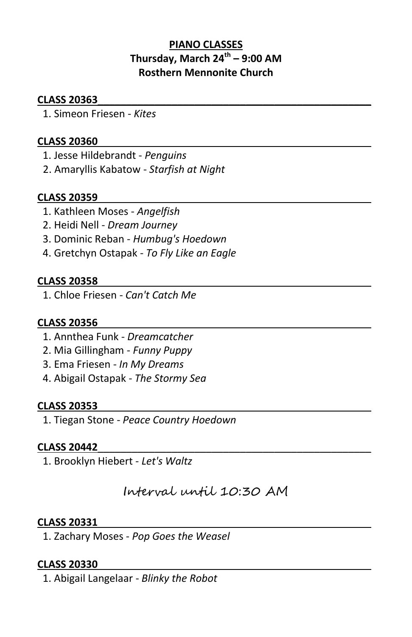# **PIANO CLASSES Thursday, March 24th – 9:00 AM Rosthern Mennonite Church**

### **CLASS 20363**\_\_\_\_\_\_\_\_\_\_\_\_\_\_\_\_\_\_\_\_\_\_\_\_\_\_\_\_\_\_\_\_\_\_\_\_\_\_\_\_\_\_\_\_\_\_\_\_

1. Simeon Friesen - *Kites* 

### **CLASS 20360**\_\_\_\_\_\_\_\_\_\_\_\_\_\_\_\_\_\_\_\_\_\_\_\_\_\_\_\_\_\_\_\_\_\_\_\_\_\_\_\_\_\_\_\_\_\_\_\_

- 1. Jesse Hildebrandt *Penguins*
- 2. Amaryllis Kabatow *Starfish at Night*

### **CLASS 20359**\_\_\_\_\_\_\_\_\_\_\_\_\_\_\_\_\_\_\_\_\_\_\_\_\_\_\_\_\_\_\_\_\_\_\_\_\_\_\_\_\_\_\_\_\_\_\_\_

- 1. Kathleen Moses *Angelfish*
- 2. Heidi Nell *Dream Journey*
- 3. Dominic Reban *Humbug's Hoedown*
- 4. Gretchyn Ostapak *To Fly Like an Eagle*

### **CLASS 20358**\_\_\_\_\_\_\_\_\_\_\_\_\_\_\_\_\_\_\_\_\_\_\_\_\_\_\_\_\_\_\_\_\_\_\_\_\_\_\_\_\_\_\_\_\_\_\_\_

1. Chloe Friesen - *Can't Catch Me*

### **CLASS 20356**\_\_\_\_\_\_\_\_\_\_\_\_\_\_\_\_\_\_\_\_\_\_\_\_\_\_\_\_\_\_\_\_\_\_\_\_\_\_\_\_\_\_\_\_\_\_\_\_

- 1. Annthea Funk *Dreamcatcher*
- 2. Mia Gillingham *Funny Puppy*
- 3. Ema Friesen *In My Dreams*
- 4. Abigail Ostapak *The Stormy Sea*

#### **CLASS 20353**\_\_\_\_\_\_\_\_\_\_\_\_\_\_\_\_\_\_\_\_\_\_\_\_\_\_\_\_\_\_\_\_\_\_\_\_\_\_\_\_\_\_\_\_\_\_\_\_

1. Tiegan Stone - *Peace Country Hoedown*

#### **CLASS 20442**\_\_\_\_\_\_\_\_\_\_\_\_\_\_\_\_\_\_\_\_\_\_\_\_\_\_\_\_\_\_\_\_\_\_\_\_\_\_\_\_\_\_\_\_\_\_\_\_

1. Brooklyn Hiebert - *Let's Waltz*

Interval until 10:30 AM

#### **CLASS 20331**\_\_\_\_\_\_\_\_\_\_\_\_\_\_\_\_\_\_\_\_\_\_\_\_\_\_\_\_\_\_\_\_\_\_\_\_\_\_\_\_\_\_\_\_\_\_\_\_

1. Zachary Moses - *Pop Goes the Weasel*

#### **CLASS 20330**\_\_\_\_\_\_\_\_\_\_\_\_\_\_\_\_\_\_\_\_\_\_\_\_\_\_\_\_\_\_\_\_\_\_\_\_\_\_\_\_\_\_\_\_\_\_\_\_

1. Abigail Langelaar - *Blinky the Robot*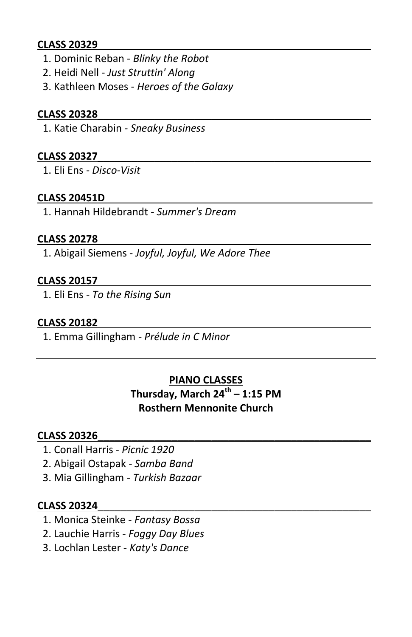# **CLASS 20329**\_\_\_\_\_\_\_\_\_\_\_\_\_\_\_\_\_\_\_\_\_\_\_\_\_\_\_\_\_\_\_\_\_\_\_\_\_\_\_\_\_\_\_\_\_\_\_\_

- 1. Dominic Reban *Blinky the Robot*
- 2. Heidi Nell *Just Struttin' Along*
- 3. Kathleen Moses *Heroes of the Galaxy*

# **CLASS 20328**\_\_\_\_\_\_\_\_\_\_\_\_\_\_\_\_\_\_\_\_\_\_\_\_\_\_\_\_\_\_\_\_\_\_\_\_\_\_\_\_\_\_\_\_\_\_\_\_

1. Katie Charabin - *Sneaky Business*

# **CLASS 20327**\_\_\_\_\_\_\_\_\_\_\_\_\_\_\_\_\_\_\_\_\_\_\_\_\_\_\_\_\_\_\_\_\_\_\_\_\_\_\_\_\_\_\_\_\_\_\_\_

1. Eli Ens - *Disco-Visit*

# **CLASS 20451D**\_\_\_\_\_\_\_\_\_\_\_\_\_\_\_\_\_\_\_\_\_\_\_\_\_\_\_\_\_\_\_\_\_\_\_\_\_\_\_\_\_\_\_\_\_\_\_

1. Hannah Hildebrandt - *Summer's Dream*

# **CLASS 20278**\_\_\_\_\_\_\_\_\_\_\_\_\_\_\_\_\_\_\_\_\_\_\_\_\_\_\_\_\_\_\_\_\_\_\_\_\_\_\_\_\_\_\_\_\_\_\_\_

1. Abigail Siemens - *Joyful, Joyful, We Adore Thee*

# **CLASS 20157**\_\_\_\_\_\_\_\_\_\_\_\_\_\_\_\_\_\_\_\_\_\_\_\_\_\_\_\_\_\_\_\_\_\_\_\_\_\_\_\_\_\_\_\_\_\_\_\_

1. Eli Ens - *To the Rising Sun*

# **CLASS 20182**\_\_\_\_\_\_\_\_\_\_\_\_\_\_\_\_\_\_\_\_\_\_\_\_\_\_\_\_\_\_\_\_\_\_\_\_\_\_\_\_\_\_\_\_\_\_\_\_

1. Emma Gillingham - *Prélude in C Minor*

# **PIANO CLASSES**

**Thursday, March 24th – 1:15 PM Rosthern Mennonite Church**

# **CLASS 20326**\_\_\_\_\_\_\_\_\_\_\_\_\_\_\_\_\_\_\_\_\_\_\_\_\_\_\_\_\_\_\_\_\_\_\_\_\_\_\_\_\_\_\_\_\_\_\_\_

- 1. Conall Harris *Picnic 1920*
- 2. Abigail Ostapak *Samba Band*
- 3. Mia Gillingham *Turkish Bazaar*

# **CLASS 20324**\_\_\_\_\_\_\_\_\_\_\_\_\_\_\_\_\_\_\_\_\_\_\_\_\_\_\_\_\_\_\_\_\_\_\_\_\_\_\_\_\_\_\_\_\_\_\_\_

- 1. Monica Steinke *Fantasy Bossa*
- 2. Lauchie Harris *Foggy Day Blues*
- 3. Lochlan Lester *Katy's Dance*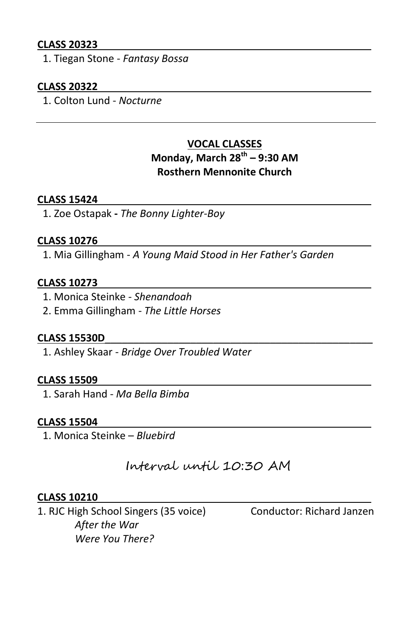# **CLASS 20323**\_\_\_\_\_\_\_\_\_\_\_\_\_\_\_\_\_\_\_\_\_\_\_\_\_\_\_\_\_\_\_\_\_\_\_\_\_\_\_\_\_\_\_\_\_\_\_\_

1. Tiegan Stone - *Fantasy Bossa*

### **CLASS 20322**\_\_\_\_\_\_\_\_\_\_\_\_\_\_\_\_\_\_\_\_\_\_\_\_\_\_\_\_\_\_\_\_\_\_\_\_\_\_\_\_\_\_\_\_\_\_\_\_

1. Colton Lund - *Nocturne*

# **VOCAL CLASSES Monday, March 28th – 9:30 AM Rosthern Mennonite Church**

### **CLASS 15424**\_\_\_\_\_\_\_\_\_\_\_\_\_\_\_\_\_\_\_\_\_\_\_\_\_\_\_\_\_\_\_\_\_\_\_\_\_\_\_\_\_\_\_\_\_\_\_\_

1. Zoe Ostapak **-** *The Bonny Lighter-Boy*

#### **CLASS 10276**\_\_\_\_\_\_\_\_\_\_\_\_\_\_\_\_\_\_\_\_\_\_\_\_\_\_\_\_\_\_\_\_\_\_\_\_\_\_\_\_\_\_\_\_\_\_\_\_

1. Mia Gillingham - *A Young Maid Stood in Her Father's Garden* 

#### **CLASS 10273**\_\_\_\_\_\_\_\_\_\_\_\_\_\_\_\_\_\_\_\_\_\_\_\_\_\_\_\_\_\_\_\_\_\_\_\_\_\_\_\_\_\_\_\_\_\_\_\_

- 1. Monica Steinke *Shenandoah*
- 2. Emma Gillingham *The Little Horses*

### **CLASS 15530D**\_\_\_\_\_\_\_\_\_\_\_\_\_\_\_\_\_\_\_\_\_\_\_\_\_\_\_\_\_\_\_\_\_\_\_\_\_\_\_\_\_\_\_\_\_\_\_

1. Ashley Skaar - *Bridge Over Troubled Water*

#### **CLASS 15509**\_\_\_\_\_\_\_\_\_\_\_\_\_\_\_\_\_\_\_\_\_\_\_\_\_\_\_\_\_\_\_\_\_\_\_\_\_\_\_\_\_\_\_\_\_\_\_\_

1. Sarah Hand - *Ma Bella Bimba*

### **CLASS 15504**\_\_\_\_\_\_\_\_\_\_\_\_\_\_\_\_\_\_\_\_\_\_\_\_\_\_\_\_\_\_\_\_\_\_\_\_\_\_\_\_\_\_\_\_\_\_\_\_

1. Monica Steinke – *Bluebird*

Interval until 10:30 AM

#### **CLASS 10210**\_\_\_\_\_\_\_\_\_\_\_\_\_\_\_\_\_\_\_\_\_\_\_\_\_\_\_\_\_\_\_\_\_\_\_\_\_\_\_\_\_\_\_\_\_\_\_\_

1. RJC High School Singers (35 voice) Conductor: Richard Janzen *After the War Were You There?*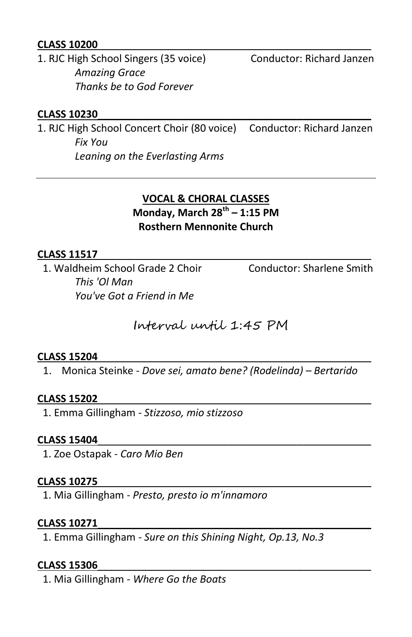# **CLASS 10200**\_\_\_\_\_\_\_\_\_\_\_\_\_\_\_\_\_\_\_\_\_\_\_\_\_\_\_\_\_\_\_\_\_\_\_\_\_\_\_\_\_\_\_\_\_\_\_\_

1. RJC High School Singers (35 voice) Conductor: Richard Janzen *Amazing Grace Thanks be to God Forever* 

# **CLASS 10230**\_\_\_\_\_\_\_\_\_\_\_\_\_\_\_\_\_\_\_\_\_\_\_\_\_\_\_\_\_\_\_\_\_\_\_\_\_\_\_\_\_\_\_\_\_\_\_\_

1. RJC High School Concert Choir (80 voice) Conductor: Richard Janzen *Fix You Leaning on the Everlasting Arms* 

# **VOCAL & CHORAL CLASSES Monday, March 28th – 1:15 PM Rosthern Mennonite Church**

# **CLASS 11517**\_\_\_\_\_\_\_\_\_\_\_\_\_\_\_\_\_\_\_\_\_\_\_\_\_\_\_\_\_\_\_\_\_\_\_\_\_\_\_\_\_\_\_\_\_\_\_\_

1. Waldheim School Grade 2 Choir Conductor: Sharlene Smith *This 'Ol Man You've Got a Friend in Me* 

Interval until 1:45 PM

#### **CLASS 15204**\_\_\_\_\_\_\_\_\_\_\_\_\_\_\_\_\_\_\_\_\_\_\_\_\_\_\_\_\_\_\_\_\_\_\_\_\_\_\_\_\_\_\_\_\_\_\_\_

1. Monica Steinke - *Dove sei, amato bene? (Rodelinda) – Bertarido*

#### **CLASS 15202**\_\_\_\_\_\_\_\_\_\_\_\_\_\_\_\_\_\_\_\_\_\_\_\_\_\_\_\_\_\_\_\_\_\_\_\_\_\_\_\_\_\_\_\_\_\_\_\_

1. Emma Gillingham - *Stizzoso, mio stizzoso*

#### **CLASS 15404**\_\_\_\_\_\_\_\_\_\_\_\_\_\_\_\_\_\_\_\_\_\_\_\_\_\_\_\_\_\_\_\_\_\_\_\_\_\_\_\_\_\_\_\_\_\_\_\_

1. Zoe Ostapak - *Caro Mio Ben* 

#### **CLASS 10275**\_\_\_\_\_\_\_\_\_\_\_\_\_\_\_\_\_\_\_\_\_\_\_\_\_\_\_\_\_\_\_\_\_\_\_\_\_\_\_\_\_\_\_\_\_\_\_\_

1. Mia Gillingham - *Presto, presto io m'innamoro* 

#### **CLASS 10271**\_\_\_\_\_\_\_\_\_\_\_\_\_\_\_\_\_\_\_\_\_\_\_\_\_\_\_\_\_\_\_\_\_\_\_\_\_\_\_\_\_\_\_\_\_\_\_\_

1. Emma Gillingham - *Sure on this Shining Night, Op.13, No.3* 

#### **CLASS 15306**\_\_\_\_\_\_\_\_\_\_\_\_\_\_\_\_\_\_\_\_\_\_\_\_\_\_\_\_\_\_\_\_\_\_\_\_\_\_\_\_\_\_\_\_\_\_\_\_

1. Mia Gillingham - *Where Go the Boats*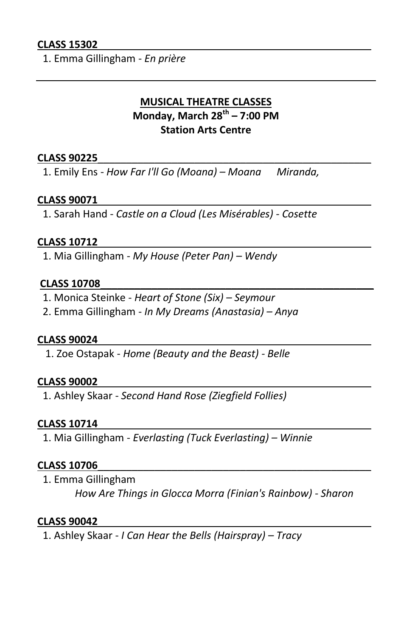# **CLASS 15302**\_\_\_\_\_\_\_\_\_\_\_\_\_\_\_\_\_\_\_\_\_\_\_\_\_\_\_\_\_\_\_\_\_\_\_\_\_\_\_\_\_\_\_\_\_\_\_\_

1. Emma Gillingham - *En prière*

# **MUSICAL THEATRE CLASSES Monday, March 28th – 7:00 PM Station Arts Centre**

#### **CLASS 90225**\_\_\_\_\_\_\_\_\_\_\_\_\_\_\_\_\_\_\_\_\_\_\_\_\_\_\_\_\_\_\_\_\_\_\_\_\_\_\_\_\_\_\_\_\_\_\_\_

1. Emily Ens - *How Far I'll Go (Moana) – Moana Miranda,* 

### **CLASS 90071**\_\_\_\_\_\_\_\_\_\_\_\_\_\_\_\_\_\_\_\_\_\_\_\_\_\_\_\_\_\_\_\_\_\_\_\_\_\_\_\_\_\_\_\_\_\_\_\_

1. Sarah Hand - *Castle on a Cloud (Les Misérables) - Cosette* 

#### **CLASS 10712**\_\_\_\_\_\_\_\_\_\_\_\_\_\_\_\_\_\_\_\_\_\_\_\_\_\_\_\_\_\_\_\_\_\_\_\_\_\_\_\_\_\_\_\_\_\_\_\_

1. Mia Gillingham - *My House (Peter Pan) – Wendy*

#### **CLASS 10708**\_\_\_\_\_\_\_\_\_\_\_\_\_\_\_\_\_\_\_\_\_\_\_\_\_\_\_\_\_\_\_\_\_\_\_\_\_\_\_\_\_\_\_\_\_\_\_\_

- 1. Monica Steinke *Heart of Stone (Six) – Seymour*
- 2. Emma Gillingham *In My Dreams (Anastasia) – Anya*

#### **CLASS 90024**\_\_\_\_\_\_\_\_\_\_\_\_\_\_\_\_\_\_\_\_\_\_\_\_\_\_\_\_\_\_\_\_\_\_\_\_\_\_\_\_\_\_\_\_\_\_\_\_

1. Zoe Ostapak - *Home (Beauty and the Beast) - Belle*

#### **CLASS 90002**\_\_\_\_\_\_\_\_\_\_\_\_\_\_\_\_\_\_\_\_\_\_\_\_\_\_\_\_\_\_\_\_\_\_\_\_\_\_\_\_\_\_\_\_\_\_\_\_

1. Ashley Skaar - *Second Hand Rose (Ziegfield Follies)*

#### **CLASS 10714**\_\_\_\_\_\_\_\_\_\_\_\_\_\_\_\_\_\_\_\_\_\_\_\_\_\_\_\_\_\_\_\_\_\_\_\_\_\_\_\_\_\_\_\_\_\_\_\_

1. Mia Gillingham - *Everlasting (Tuck Everlasting) – Winnie*

# **CLASS 10706**\_\_\_\_\_\_\_\_\_\_\_\_\_\_\_\_\_\_\_\_\_\_\_\_\_\_\_\_\_\_\_\_\_\_\_\_\_\_\_\_\_\_\_\_\_\_\_\_

1. Emma Gillingham

*How Are Things in Glocca Morra (Finian's Rainbow) - Sharon* 

#### **CLASS 90042**\_\_\_\_\_\_\_\_\_\_\_\_\_\_\_\_\_\_\_\_\_\_\_\_\_\_\_\_\_\_\_\_\_\_\_\_\_\_\_\_\_\_\_\_\_\_\_\_

1. Ashley Skaar - *I Can Hear the Bells (Hairspray) – Tracy*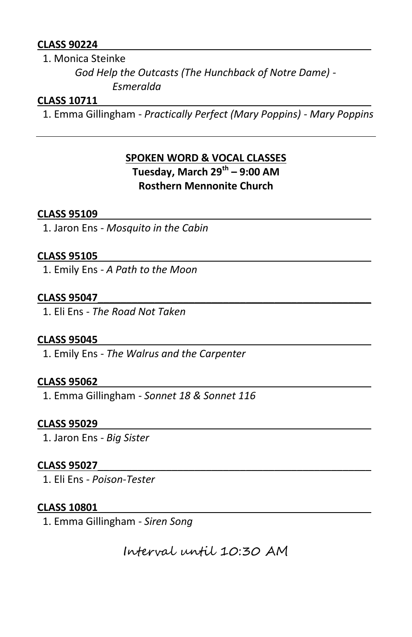# **CLASS 90224**\_\_\_\_\_\_\_\_\_\_\_\_\_\_\_\_\_\_\_\_\_\_\_\_\_\_\_\_\_\_\_\_\_\_\_\_\_\_\_\_\_\_\_\_\_\_\_\_

1. Monica Steinke

*God Help the Outcasts (The Hunchback of Notre Dame) - Esmeralda*

# **CLASS 10711**\_\_\_\_\_\_\_\_\_\_\_\_\_\_\_\_\_\_\_\_\_\_\_\_\_\_\_\_\_\_\_\_\_\_\_\_\_\_\_\_\_\_\_\_\_\_\_\_

1. Emma Gillingham - *Practically Perfect (Mary Poppins) - Mary Poppins*

# **SPOKEN WORD & VOCAL CLASSES Tuesday, March 29th – 9:00 AM Rosthern Mennonite Church**

# **CLASS 95109**\_\_\_\_\_\_\_\_\_\_\_\_\_\_\_\_\_\_\_\_\_\_\_\_\_\_\_\_\_\_\_\_\_\_\_\_\_\_\_\_\_\_\_\_\_\_\_\_

1. Jaron Ens - *Mosquito in the Cabin*

# **CLASS 95105**\_\_\_\_\_\_\_\_\_\_\_\_\_\_\_\_\_\_\_\_\_\_\_\_\_\_\_\_\_\_\_\_\_\_\_\_\_\_\_\_\_\_\_\_\_\_\_\_

1. Emily Ens - *A Path to the Moon*

# **CLASS 95047**\_\_\_\_\_\_\_\_\_\_\_\_\_\_\_\_\_\_\_\_\_\_\_\_\_\_\_\_\_\_\_\_\_\_\_\_\_\_\_\_\_\_\_\_\_\_\_\_

1. Eli Ens - *The Road Not Taken* 

# **CLASS 95045**\_\_\_\_\_\_\_\_\_\_\_\_\_\_\_\_\_\_\_\_\_\_\_\_\_\_\_\_\_\_\_\_\_\_\_\_\_\_\_\_\_\_\_\_\_\_\_\_

1. Emily Ens - *The Walrus and the Carpenter*

# **CLASS 95062**\_\_\_\_\_\_\_\_\_\_\_\_\_\_\_\_\_\_\_\_\_\_\_\_\_\_\_\_\_\_\_\_\_\_\_\_\_\_\_\_\_\_\_\_\_\_\_\_

1. Emma Gillingham - *Sonnet 18 & Sonnet 116*

# **CLASS 95029**\_\_\_\_\_\_\_\_\_\_\_\_\_\_\_\_\_\_\_\_\_\_\_\_\_\_\_\_\_\_\_\_\_\_\_\_\_\_\_\_\_\_\_\_\_\_\_\_

1. Jaron Ens - *Big Sister* 

# **CLASS 95027**\_\_\_\_\_\_\_\_\_\_\_\_\_\_\_\_\_\_\_\_\_\_\_\_\_\_\_\_\_\_\_\_\_\_\_\_\_\_\_\_\_\_\_\_\_\_\_\_

1. Eli Ens - *Poison-Tester* 

# **CLASS 10801**\_\_\_\_\_\_\_\_\_\_\_\_\_\_\_\_\_\_\_\_\_\_\_\_\_\_\_\_\_\_\_\_\_\_\_\_\_\_\_\_\_\_\_\_\_\_\_\_

1. Emma Gillingham - *Siren Song*

Interval until 10:30 AM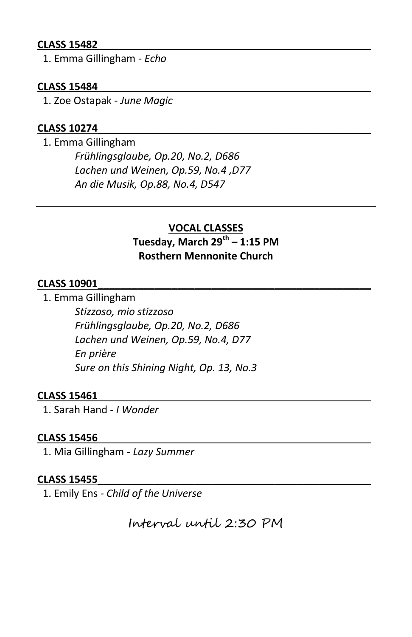# **CLASS 15482**\_\_\_\_\_\_\_\_\_\_\_\_\_\_\_\_\_\_\_\_\_\_\_\_\_\_\_\_\_\_\_\_\_\_\_\_\_\_\_\_\_\_\_\_\_\_\_\_

1. Emma Gillingham - *Echo*

# **CLASS 15484**\_\_\_\_\_\_\_\_\_\_\_\_\_\_\_\_\_\_\_\_\_\_\_\_\_\_\_\_\_\_\_\_\_\_\_\_\_\_\_\_\_\_\_\_\_\_\_\_

1. Zoe Ostapak - *June Magic*

# **CLASS 10274**\_\_\_\_\_\_\_\_\_\_\_\_\_\_\_\_\_\_\_\_\_\_\_\_\_\_\_\_\_\_\_\_\_\_\_\_\_\_\_\_\_\_\_\_\_\_\_\_

 1. Emma Gillingham *Frühlingsglaube, Op.20, No.2, D686 Lachen und Weinen, Op.59, No.4 ,D77 An die Musik, Op.88, No.4, D547* 

# **VOCAL CLASSES Tuesday, March 29th – 1:15 PM Rosthern Mennonite Church**

# **CLASS 10901**\_\_\_\_\_\_\_\_\_\_\_\_\_\_\_\_\_\_\_\_\_\_\_\_\_\_\_\_\_\_\_\_\_\_\_\_\_\_\_\_\_\_\_\_\_\_\_\_

1. Emma Gillingham

*Stizzoso, mio stizzoso Frühlingsglaube, Op.20, No.2, D686 Lachen und Weinen, Op.59, No.4, D77 En prière Sure on this Shining Night, Op. 13, No.3* 

# **CLASS 15461**\_\_\_\_\_\_\_\_\_\_\_\_\_\_\_\_\_\_\_\_\_\_\_\_\_\_\_\_\_\_\_\_\_\_\_\_\_\_\_\_\_\_\_\_\_\_\_\_

1. Sarah Hand - *I Wonder* 

#### **CLASS 15456**\_\_\_\_\_\_\_\_\_\_\_\_\_\_\_\_\_\_\_\_\_\_\_\_\_\_\_\_\_\_\_\_\_\_\_\_\_\_\_\_\_\_\_\_\_\_\_\_

1. Mia Gillingham - *Lazy Summer*

#### **CLASS 15455**\_\_\_\_\_\_\_\_\_\_\_\_\_\_\_\_\_\_\_\_\_\_\_\_\_\_\_\_\_\_\_\_\_\_\_\_\_\_\_\_\_\_\_\_\_\_\_\_

1. Emily Ens - *Child of the Universe*

Interval until 2:30 PM